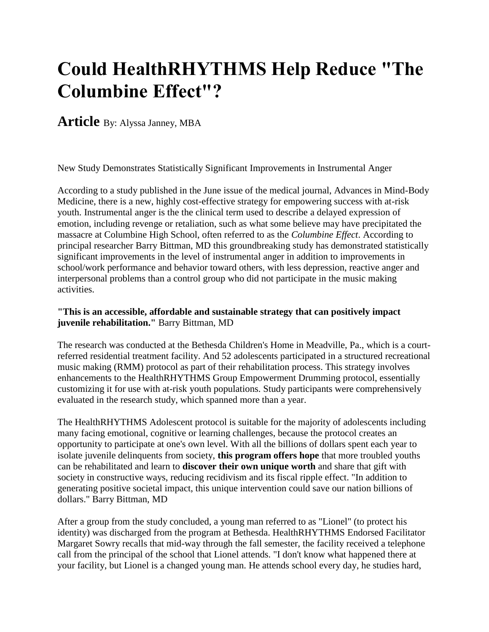# **Could HealthRHYTHMS Help Reduce "The Columbine Effect"?**

**Article** By: Alyssa Janney, MBA

New Study Demonstrates Statistically Significant Improvements in Instrumental Anger

According to a study published in the June issue of the medical journal, Advances in Mind-Body Medicine, there is a new, highly cost-effective strategy for empowering success with at-risk youth. Instrumental anger is the the clinical term used to describe a delayed expression of emotion, including revenge or retaliation, such as what some believe may have precipitated the massacre at Columbine High School, often referred to as the *Columbine Effect*. According to principal researcher Barry Bittman, MD this groundbreaking study has demonstrated statistically significant improvements in the level of instrumental anger in addition to improvements in school/work performance and behavior toward others, with less depression, reactive anger and interpersonal problems than a control group who did not participate in the music making activities.

# **"This is an accessible, affordable and sustainable strategy that can positively impact juvenile rehabilitation."** Barry Bittman, MD

The research was conducted at the Bethesda Children's Home in Meadville, Pa., which is a courtreferred residential treatment facility. And 52 adolescents participated in a structured recreational music making (RMM) protocol as part of their rehabilitation process. This strategy involves enhancements to the HealthRHYTHMS Group Empowerment Drumming protocol, essentially customizing it for use with at-risk youth populations. Study participants were comprehensively evaluated in the research study, which spanned more than a year.

The HealthRHYTHMS Adolescent protocol is suitable for the majority of adolescents including many facing emotional, cognitive or learning challenges, because the protocol creates an opportunity to participate at one's own level. With all the billions of dollars spent each year to isolate juvenile delinquents from society, **this program offers hope** that more troubled youths can be rehabilitated and learn to **discover their own unique worth** and share that gift with society in constructive ways, reducing recidivism and its fiscal ripple effect. "In addition to generating positive societal impact, this unique intervention could save our nation billions of dollars." Barry Bittman, MD

After a group from the study concluded, a young man referred to as "Lionel" (to protect his identity) was discharged from the program at Bethesda. HealthRHYTHMS Endorsed Facilitator Margaret Sowry recalls that mid-way through the fall semester, the facility received a telephone call from the principal of the school that Lionel attends. "I don't know what happened there at your facility, but Lionel is a changed young man. He attends school every day, he studies hard,